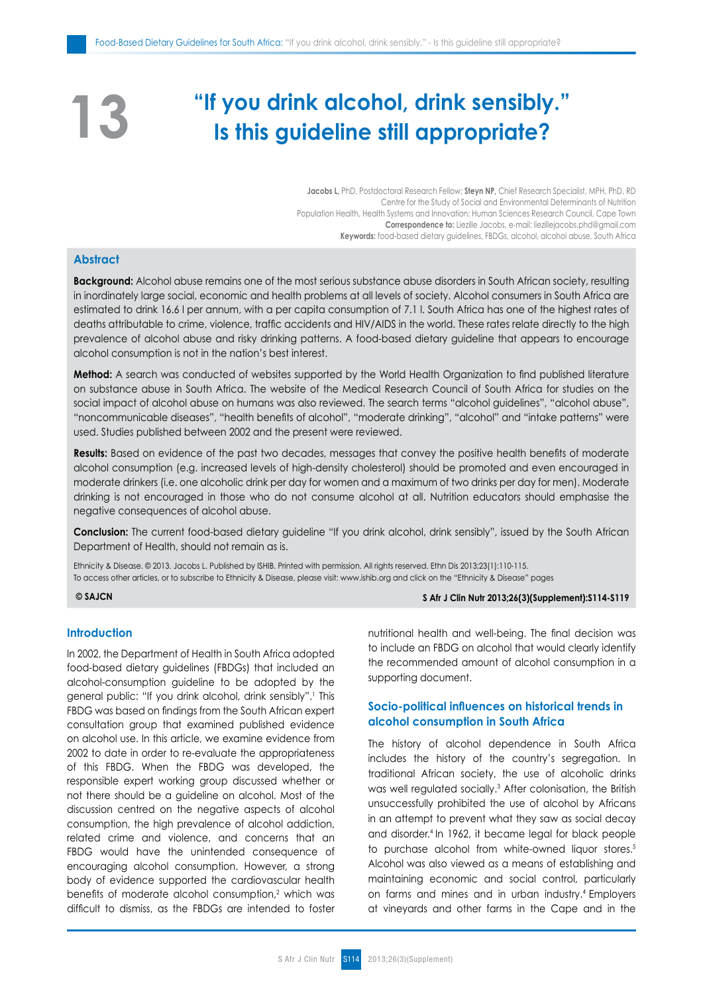# **"If you drink alcohol, drink sensibly." Is this guideline still appropriate?**

**Jacobs L,** PhD, Postdoctoral Research Fellow; **Steyn NP,** Chief Research Specialist, MPH, PhD, RD Centre for the Study of Social and Environmental Determinants of Nutrition Population Health, Health Systems and Innovation; Human Sciences Research Council, Cape Town **Correspondence to:** Liezille Jacobs, e-mail: liezillejacobs.phd@gmail.com **Keywords:** food-based dietary guidelines, FBDGs, alcohol, alcohol abuse, South Africa

# **Abstract**

**13**

**Background:** Alcohol abuse remains one of the most serious substance abuse disorders in South African society, resulting in inordinately large social, economic and health problems at all levels of society. Alcohol consumers in South Africa are estimated to drink 16.6 l per annum, with a per capita consumption of 7.1 l. South Africa has one of the highest rates of deaths attributable to crime, violence, traffic accidents and HIV/AIDS in the world. These rates relate directly to the high prevalence of alcohol abuse and risky drinking patterns. A food-based dietary guideline that appears to encourage alcohol consumption is not in the nation's best interest.

**Method:** A search was conducted of websites supported by the World Health Organization to find published literature on substance abuse in South Africa. The website of the Medical Research Council of South Africa for studies on the social impact of alcohol abuse on humans was also reviewed. The search terms "alcohol guidelines", "alcohol abuse", "noncommunicable diseases", "health benefits of alcohol", "moderate drinking", "alcohol" and "intake patterns" were used. Studies published between 2002 and the present were reviewed.

**Results:** Based on evidence of the past two decades, messages that convey the positive health benefits of moderate alcohol consumption (e.g. increased levels of high-density cholesterol) should be promoted and even encouraged in moderate drinkers (i.e. one alcoholic drink per day for women and a maximum of two drinks per day for men). Moderate drinking is not encouraged in those who do not consume alcohol at all. Nutrition educators should emphasise the negative consequences of alcohol abuse.

**Conclusion:** The current food-based dietary guideline "If you drink alcohol, drink sensibly", issued by the South African Department of Health, should not remain as is.

Ethnicity & Disease. © 2013. Jacobs L. Published by ISHIB. Printed with permission. All rights reserved. Ethn Dis 2013;23(1):110-115. To access other articles, or to subscribe to Ethnicity & Disease, please visit: www.ishib.org and click on the "Ethnicity & Disease" pages

# **© SAJCN S Afr J Clin Nutr 2013;26(3)(Supplement):S114-S119**

#### **Introduction**

In 2002, the Department of Health in South Africa adopted food-based dietary guidelines (FBDGs) that included an alcohol-consumption guideline to be adopted by the general public: "If you drink alcohol, drink sensibly".1 This FBDG was based on findings from the South African expert consultation group that examined published evidence on alcohol use. In this article, we examine evidence from 2002 to date in order to re-evaluate the appropriateness of this FBDG. When the FBDG was developed, the responsible expert working group discussed whether or not there should be a guideline on alcohol. Most of the discussion centred on the negative aspects of alcohol consumption, the high prevalence of alcohol addiction, related crime and violence, and concerns that an FBDG would have the unintended consequence of encouraging alcohol consumption. However, a strong body of evidence supported the cardiovascular health benefits of moderate alcohol consumption,<sup>2</sup> which was difficult to dismiss, as the FBDGs are intended to foster nutritional health and well-being. The final decision was to include an FBDG on alcohol that would clearly identify the recommended amount of alcohol consumption in a supporting document.

# **Socio-political influences on historical trends in alcohol consumption in South Africa**

The history of alcohol dependence in South Africa includes the history of the country's segregation. In traditional African society, the use of alcoholic drinks was well regulated socially.3 After colonisation, the British unsuccessfully prohibited the use of alcohol by Africans in an attempt to prevent what they saw as social decay and disorder.4 In 1962, it became legal for black people to purchase alcohol from white-owned liquor stores.<sup>5</sup> Alcohol was also viewed as a means of establishing and maintaining economic and social control, particularly on farms and mines and in urban industry.4 Employers at vineyards and other farms in the Cape and in the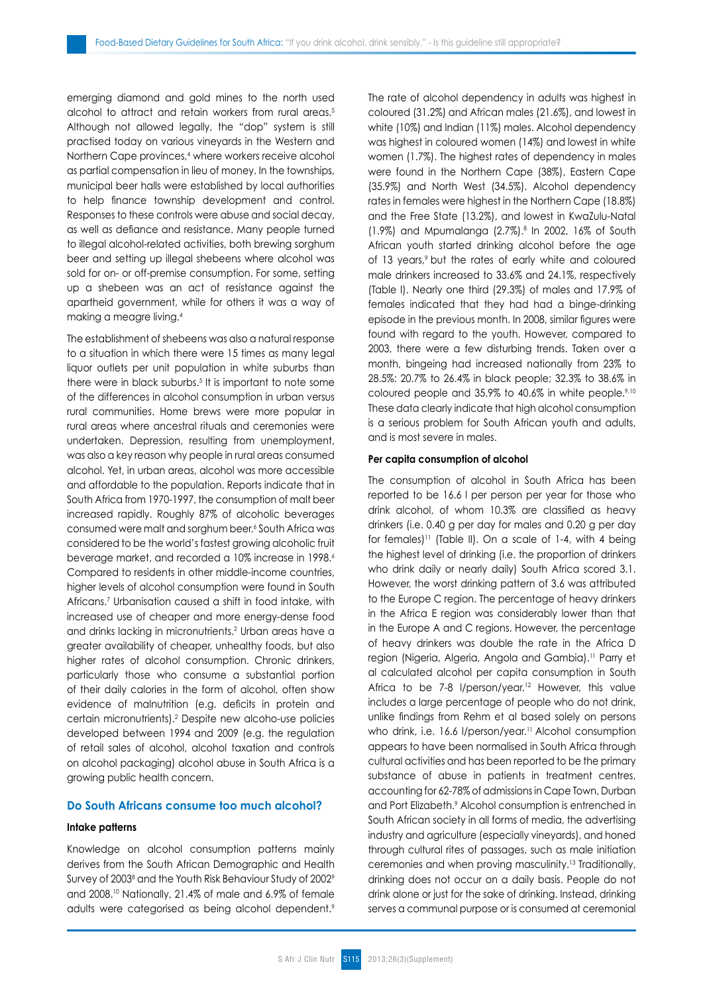emerging diamond and gold mines to the north used alcohol to attract and retain workers from rural areas.<sup>5</sup> Although not allowed legally, the "dop" system is still practised today on various vineyards in the Western and Northern Cape provinces,<sup>4</sup> where workers receive alcohol as partial compensation in lieu of money. In the townships, municipal beer halls were established by local authorities to help finance township development and control. Responses to these controls were abuse and social decay, as well as defiance and resistance. Many people turned to illegal alcohol-related activities, both brewing sorghum beer and setting up illegal shebeens where alcohol was sold for on- or off-premise consumption. For some, setting up a shebeen was an act of resistance against the apartheid government, while for others it was a way of making a meagre living.<sup>4</sup>

The establishment of shebeens was also a natural response to a situation in which there were 15 times as many legal liquor outlets per unit population in white suburbs than there were in black suburbs.<sup>5</sup> It is important to note some of the differences in alcohol consumption in urban versus rural communities. Home brews were more popular in rural areas where ancestral rituals and ceremonies were undertaken. Depression, resulting from unemployment, was also a key reason why people in rural areas consumed alcohol. Yet, in urban areas, alcohol was more accessible and affordable to the population. Reports indicate that in South Africa from 1970-1997, the consumption of malt beer increased rapidly. Roughly 87% of alcoholic beverages consumed were malt and sorghum beer.6 South Africa was considered to be the world's fastest growing alcoholic fruit beverage market, and recorded a 10% increase in 1998.<sup>6</sup> Compared to residents in other middle-income countries, higher levels of alcohol consumption were found in South Africans.7 Urbanisation caused a shift in food intake, with increased use of cheaper and more energy-dense food and drinks lacking in micronutrients.2 Urban areas have a greater availability of cheaper, unhealthy foods, but also higher rates of alcohol consumption. Chronic drinkers, particularly those who consume a substantial portion of their daily calories in the form of alcohol, often show evidence of malnutrition (e.g. deficits in protein and certain micronutrients).2 Despite new alcoho-use policies developed between 1994 and 2009 (e.g. the regulation of retail sales of alcohol, alcohol taxation and controls on alcohol packaging) alcohol abuse in South Africa is a growing public health concern.

# **Do South Africans consume too much alcohol?**

# **Intake patterns**

Knowledge on alcohol consumption patterns mainly derives from the South African Demographic and Health Survey of 2003 $^{\rm 8}$  and the Youth Risk Behaviour Study of 2002 $^{\rm 9}$ and 2008.10 Nationally, 21.4% of male and 6.9% of female adults were categorised as being alcohol dependent.<sup>9</sup> The rate of alcohol dependency in adults was highest in coloured (31.2%) and African males (21.6%), and lowest in white (10%) and Indian (11%) males. Alcohol dependency was highest in coloured women (14%) and lowest in white women (1.7%). The highest rates of dependency in males were found in the Northern Cape (38%), Eastern Cape (35.9%) and North West (34.5%). Alcohol dependency rates in females were highest in the Northern Cape (18.8%) and the Free State (13.2%), and lowest in KwaZulu-Natal (1.9%) and Mpumalanga (2.7%).8 In 2002, 16% of South African youth started drinking alcohol before the age of 13 years,<sup>9</sup> but the rates of early white and coloured male drinkers increased to 33.6% and 24.1%, respectively (Table I). Nearly one third (29.3%) of males and 17.9% of females indicated that they had had a binge-drinking episode in the previous month. In 2008, similar figures were found with regard to the youth. However, compared to 2003, there were a few disturbing trends. Taken over a month, bingeing had increased nationally from 23% to 28.5%: 20.7% to 26.4% in black people; 32.3% to 38.6% in coloured people and 35.9% to 40.6% in white people.<sup>9,10</sup> These data clearly indicate that high alcohol consumption is a serious problem for South African youth and adults, and is most severe in males.

### **Per capita consumption of alcohol**

The consumption of alcohol in South Africa has been reported to be 16.6 l per person per year for those who drink alcohol, of whom 10.3% are classified as heavy drinkers (i.e. 0.40 g per day for males and 0.20 g per day for females)<sup>11</sup> (Table II). On a scale of 1-4, with 4 being the highest level of drinking (i.e. the proportion of drinkers who drink daily or nearly daily) South Africa scored 3.1. However, the worst drinking pattern of 3.6 was attributed to the Europe C region. The percentage of heavy drinkers in the Africa E region was considerably lower than that in the Europe A and C regions. However, the percentage of heavy drinkers was double the rate in the Africa D region (Nigeria, Algeria, Angola and Gambia).11 Parry et al calculated alcohol per capita consumption in South Africa to be 7-8 l/person/year.<sup>12</sup> However, this value includes a large percentage of people who do not drink, unlike findings from Rehm et al based solely on persons who drink, i.e. 16.6 l/person/year.<sup>11</sup> Alcohol consumption appears to have been normalised in South Africa through cultural activities and has been reported to be the primary substance of abuse in patients in treatment centres, accounting for 62-78% of admissions in Cape Town, Durban and Port Elizabeth.<sup>9</sup> Alcohol consumption is entrenched in South African society in all forms of media, the advertising industry and agriculture (especially vineyards), and honed through cultural rites of passages, such as male initiation ceremonies and when proving masculinity.13 Traditionally, drinking does not occur on a daily basis. People do not drink alone or just for the sake of drinking. Instead, drinking serves a communal purpose or is consumed at ceremonial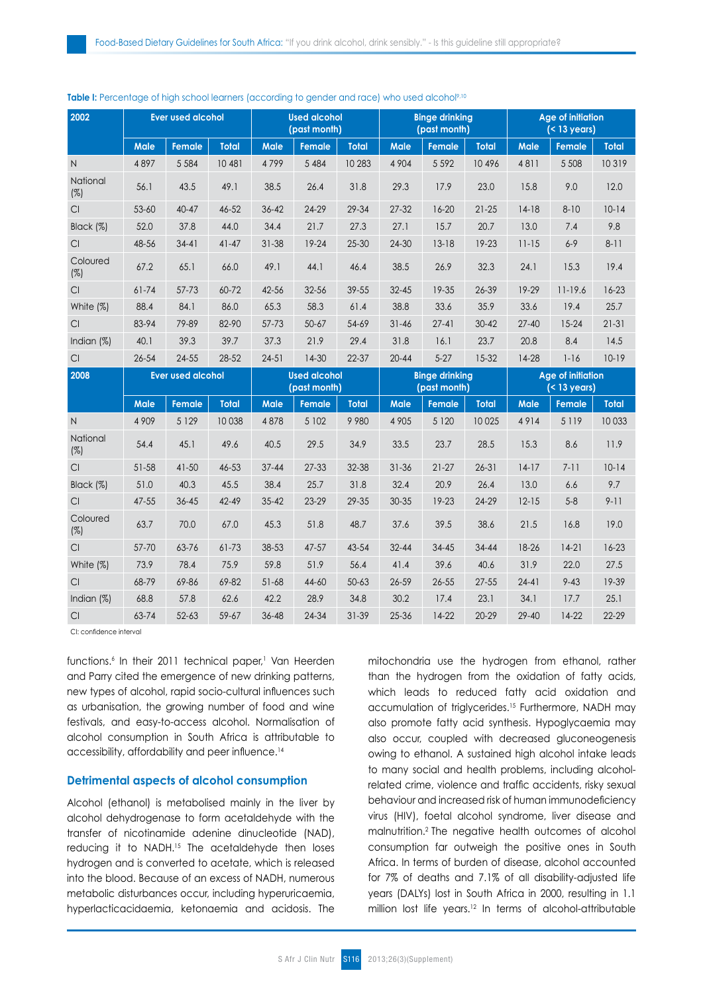| 2002                   |                          | <b>Ever used alcohol</b> |              | <b>Used alcohol</b><br>(past month) |               |              | <b>Binge drinking</b><br>(past month) |               |              | <b>Age of initiation</b><br>$($ < 13 years) |               |              |
|------------------------|--------------------------|--------------------------|--------------|-------------------------------------|---------------|--------------|---------------------------------------|---------------|--------------|---------------------------------------------|---------------|--------------|
|                        | <b>Male</b>              | <b>Female</b>            | <b>Total</b> | Male                                | <b>Female</b> | <b>Total</b> | <b>Male</b>                           | <b>Female</b> | <b>Total</b> | <b>Male</b>                                 | Female        | <b>Total</b> |
| $\mathsf{N}$           | 4897                     | 5 5 8 4                  | 10 481       | 4799                                | 5 4 8 4       | 10 283       | 4 9 0 4                               | 5 5 9 2       | 10496        | 4811                                        | 5 5 0 8       | 10319        |
| National<br>(%)        | 56.1                     | 43.5                     | 49.1         | 38.5                                | 26.4          | 31.8         | 29.3                                  | 17.9          | 23.0         | 15.8                                        | 9.0           | 12.0         |
| CI.                    | $53 - 60$                | $40 - 47$                | 46-52        | 36-42                               | 24-29         | 29-34        | $27 - 32$                             | $16 - 20$     | $21 - 25$    | $14-18$                                     | $8 - 10$      | $10-14$      |
| Black (%)              | 52.0                     | 37.8                     | 44.0         | 34.4                                | 21.7          | 27.3         | 27.1                                  | 15.7          | 20.7         | 13.0                                        | 7.4           | 9.8          |
| CI                     | 48-56                    | $34 - 41$                | $41 - 47$    | 31-38                               | 19-24         | $25 - 30$    | $24 - 30$                             | $13 - 18$     | 19-23        | $11 - 15$                                   | $6 - 9$       | $8 - 11$     |
| Coloured<br>(%)        | 67.2                     | 65.1                     | 66.0         | 49.1                                | 44.1          | 46.4         | 38.5                                  | 26.9          | 32.3         | 24.1                                        | 15.3          | 19.4         |
| CI                     | $61 - 74$                | $57 - 73$                | 60-72        | 42-56                               | 32-56         | 39-55        | $32 - 45$                             | 19-35         | 26-39        | 19-29                                       | $11 - 19.6$   | $16 - 23$    |
| White (%)              | 88.4                     | 84.1                     | 86.0         | 65.3                                | 58.3          | 61.4         | 38.8                                  | 33.6          | 35.9         | 33.6                                        | 19.4          | 25.7         |
| CI                     | 83-94                    | 79-89                    | 82-90        | 57-73                               | $50 - 67$     | 54-69        | $31 - 46$                             | $27-41$       | $30 - 42$    | $27 - 40$                                   | $15 - 24$     | $21 - 31$    |
| Indian (%)             | 40.1                     | 39.3                     | 39.7         | 37.3                                | 21.9          | 29.4         | 31.8                                  | 16.1          | 23.7         | 20.8                                        | 8.4           | 14.5         |
| Cl                     | $26 - 54$                | 24-55                    | 28-52        | $24 - 51$                           | $14-30$       | 22-37        | $20 - 44$                             | $5 - 27$      | $15-32$      | 14-28                                       | $1 - 16$      | $10-19$      |
| 2008                   | <b>Ever used alcohol</b> |                          |              | <b>Used alcohol</b><br>(past month) |               |              | <b>Binge drinking</b><br>(past month) |               |              | <b>Age of initiation</b><br>$(< 13$ years)  |               |              |
|                        | Male                     | Female                   | Total        | <b>Male</b>                         | Female        | <b>Total</b> | Male                                  | <b>Female</b> | <b>Total</b> | <b>Male</b>                                 | <b>Female</b> | <b>Total</b> |
| $\mathsf{N}$           | 4 9 0 9                  | 5 1 2 9                  | 10 0 38      | 4878                                | 5 102         | 9980         | 4 9 0 5                               | 5 1 2 0       | 10 0 25      | 4914                                        | 5 1 1 9       | 10 033       |
| National<br>$(\%)$     | 54.4                     |                          |              |                                     |               |              |                                       |               |              |                                             |               |              |
|                        |                          | 45.1                     | 49.6         | 40.5                                | 29.5          | 34.9         | 33.5                                  | 23.7          | 28.5         | 15.3                                        | 8.6           | 11.9         |
| CI                     | 51-58                    | $41 - 50$                | 46-53        | $37 - 44$                           | $27 - 33$     | 32-38        | $31 - 36$                             | $21 - 27$     | $26 - 31$    | $14-17$                                     | $7 - 11$      | $10-14$      |
| Black (%)              | 51.0                     | 40.3                     | 45.5         | 38.4                                | 25.7          | 31.8         | 32.4                                  | 20.9          | 26.4         | 13.0                                        | 6.6           | 9.7          |
| CI.                    | 47-55                    | 36-45                    | $42 - 49$    | $35 - 42$                           | $23 - 29$     | 29-35        | 30-35                                 | 19-23         | 24-29        | $12 - 15$                                   | $5 - 8$       | $9 - 11$     |
| Coloured<br>$(\%)$     | 63.7                     | 70.0                     | 67.0         | 45.3                                | 51.8          | 48.7         | 37.6                                  | 39.5          | 38.6         | 21.5                                        | 16.8          | 19.0         |
| $\mathsf{C}\mathsf{I}$ | 57-70                    | 63-76                    | 61-73        | 38-53                               | $47 - 57$     | 43-54        | $32 - 44$                             | $34 - 45$     | 34-44        | 18-26                                       | $14-21$       | $16 - 23$    |
| White (%)              | 73.9                     | 78.4                     | 75.9         | 59.8                                | 51.9          | 56.4         | 41.4                                  | 39.6          | 40.6         | 31.9                                        | 22.0          | 27.5         |
| CI                     | 68-79                    | 69-86                    | 69-82        | $51 - 68$                           | 44-60         | $50 - 63$    | 26-59                                 | $26 - 55$     | $27 - 55$    | $24 - 41$                                   | $9 - 43$      | 19-39        |
| Indian (%)             | 68.8                     | 57.8                     | 62.6         | 42.2                                | 28.9          | 34.8         | 30.2                                  | 17.4          | 23.1         | 34.1                                        | 17.7          | 25.1         |

#### **Table I:** Percentage of high school learners (according to gender and race) who used alcohol<sup>9,10</sup>

CI: confidence interval

functions.<sup>6</sup> In their 2011 technical paper,<sup>1</sup> Van Heerden and Parry cited the emergence of new drinking patterns, new types of alcohol, rapid socio-cultural influences such as urbanisation, the growing number of food and wine festivals, and easy-to-access alcohol. Normalisation of alcohol consumption in South Africa is attributable to accessibility, affordability and peer influence.<sup>14</sup>

# **Detrimental aspects of alcohol consumption**

Alcohol (ethanol) is metabolised mainly in the liver by alcohol dehydrogenase to form acetaldehyde with the transfer of nicotinamide adenine dinucleotide (NAD), reducing it to NADH.<sup>15</sup> The acetaldehyde then loses hydrogen and is converted to acetate, which is released into the blood. Because of an excess of NADH, numerous metabolic disturbances occur, including hyperuricaemia, hyperlacticacidaemia, ketonaemia and acidosis. The mitochondria use the hydrogen from ethanol, rather than the hydrogen from the oxidation of fatty acids, which leads to reduced fatty acid oxidation and accumulation of triglycerides.15 Furthermore, NADH may also promote fatty acid synthesis. Hypoglycaemia may also occur, coupled with decreased gluconeogenesis owing to ethanol. A sustained high alcohol intake leads to many social and health problems, including alcoholrelated crime, violence and traffic accidents, risky sexual behaviour and increased risk of human immunodeficiency virus (HIV), foetal alcohol syndrome, liver disease and malnutrition.2 The negative health outcomes of alcohol consumption far outweigh the positive ones in South Africa. In terms of burden of disease, alcohol accounted for 7% of deaths and 7.1% of all disability-adjusted life years (DALYs) lost in South Africa in 2000, resulting in 1.1 million lost life years.12 In terms of alcohol-attributable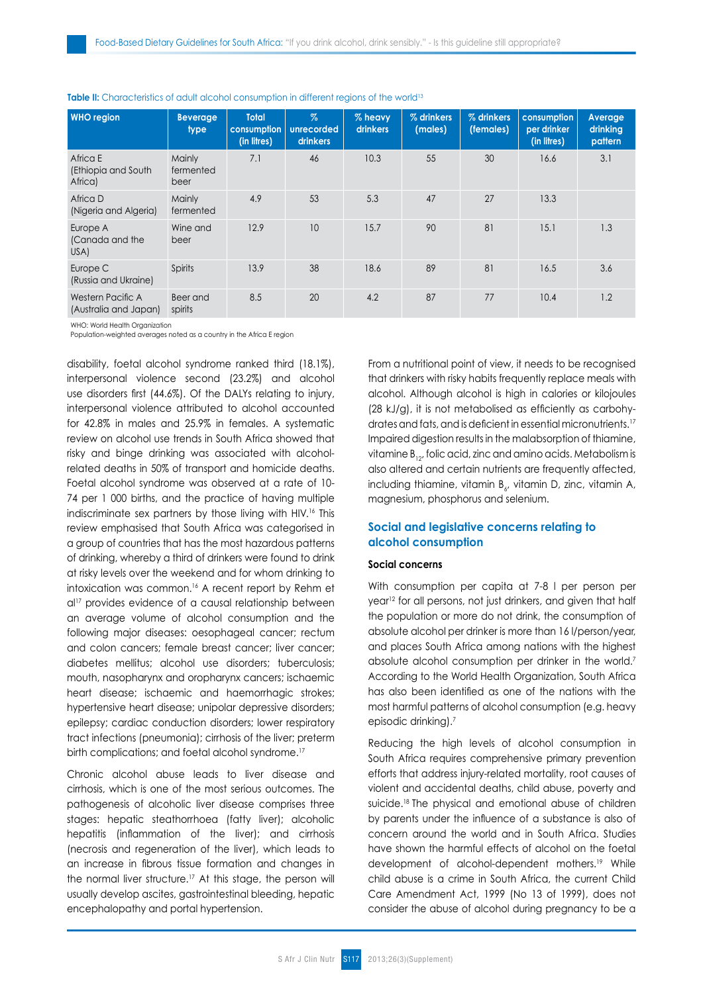| <b>WHO</b> region                           | <b>Beverage</b><br>type     | <b>Total</b><br>consumption<br>(in litres) | $\%$<br>unrecorded<br>drinkers | % heavy<br>drinkers | % drinkers<br>(males) | % drinkers<br>(females) | consumption<br>per drinker<br>(in litres) | Average<br>drinking<br>pattern |
|---------------------------------------------|-----------------------------|--------------------------------------------|--------------------------------|---------------------|-----------------------|-------------------------|-------------------------------------------|--------------------------------|
| Africa E<br>(Ethiopia and South)<br>Africa) | Mainly<br>fermented<br>beer | 7.1                                        | 46                             | 10.3                | 55                    | 30                      | 16.6                                      | 3.1                            |
| Africa D<br>(Nigeria and Algeria)           | Mainly<br>fermented         | 4.9                                        | 53                             | 5.3                 | 47                    | 27                      | 13.3                                      |                                |
| Europe A<br>(Canada and the<br>USA)         | Wine and<br>beer            | 12.9                                       | 10                             | 15.7                | 90                    | 81                      | 15.1                                      | 1.3                            |
| Europe C<br>(Russia and Ukraine)            | Spirits                     | 13.9                                       | 38                             | 18.6                | 89                    | 81                      | 16.5                                      | 3.6                            |
| Western Pacific A<br>(Australia and Japan)  | Beer and<br>spirits         | 8.5                                        | 20                             | 4.2                 | 87                    | 77                      | 10.4                                      | 1.2                            |

#### **Table II:** Characteristics of adult alcohol consumption in different regions of the world<sup>13</sup>

WHO: World Health Organization

Population-weighted averages noted as a country in the Africa E region

disability, foetal alcohol syndrome ranked third (18.1%), interpersonal violence second (23.2%) and alcohol use disorders first (44.6%). Of the DALYs relating to injury, interpersonal violence attributed to alcohol accounted for 42.8% in males and 25.9% in females. A systematic review on alcohol use trends in South Africa showed that risky and binge drinking was associated with alcoholrelated deaths in 50% of transport and homicide deaths. Foetal alcohol syndrome was observed at a rate of 10- 74 per 1 000 births, and the practice of having multiple indiscriminate sex partners by those living with HIV.<sup>16</sup> This review emphasised that South Africa was categorised in a group of countries that has the most hazardous patterns of drinking, whereby a third of drinkers were found to drink at risky levels over the weekend and for whom drinking to intoxication was common.<sup>16</sup> A recent report by Rehm et al17 provides evidence of a causal relationship between an average volume of alcohol consumption and the following major diseases: oesophageal cancer; rectum and colon cancers; female breast cancer; liver cancer; diabetes mellitus; alcohol use disorders; tuberculosis; mouth, nasopharynx and oropharynx cancers; ischaemic heart disease; ischaemic and haemorrhagic strokes; hypertensive heart disease; unipolar depressive disorders; epilepsy; cardiac conduction disorders; lower respiratory tract infections (pneumonia); cirrhosis of the liver; preterm birth complications; and foetal alcohol syndrome.<sup>17</sup>

Chronic alcohol abuse leads to liver disease and cirrhosis, which is one of the most serious outcomes. The pathogenesis of alcoholic liver disease comprises three stages: hepatic steathorrhoea (fatty liver); alcoholic hepatitis (inflammation of the liver); and cirrhosis (necrosis and regeneration of the liver), which leads to an increase in fibrous tissue formation and changes in the normal liver structure.<sup>17</sup> At this stage, the person will usually develop ascites, gastrointestinal bleeding, hepatic encephalopathy and portal hypertension.

From a nutritional point of view, it needs to be recognised that drinkers with risky habits frequently replace meals with alcohol. Although alcohol is high in calories or kilojoules (28 kJ/g), it is not metabolised as efficiently as carbohydrates and fats, and is deficient in essential micronutrients.<sup>17</sup> Impaired digestion results in the malabsorption of thiamine, vitamine  $B_{12}$ , folic acid, zinc and amino acids. Metabolism is also altered and certain nutrients are frequently affected, including thiamine, vitamin B<sub>6</sub>, vitamin D, zinc, vitamin A, magnesium, phosphorus and selenium.

# **Social and legislative concerns relating to alcohol consumption**

#### **Social concerns**

With consumption per capita at 7-8 l per person per year<sup>12</sup> for all persons, not just drinkers, and given that half the population or more do not drink, the consumption of absolute alcohol per drinker is more than 16 l/person/year, and places South Africa among nations with the highest absolute alcohol consumption per drinker in the world.7 According to the World Health Organization, South Africa has also been identified as one of the nations with the most harmful patterns of alcohol consumption (e.g. heavy episodic drinking).7

Reducing the high levels of alcohol consumption in South Africa requires comprehensive primary prevention efforts that address injury-related mortality, root causes of violent and accidental deaths, child abuse, poverty and suicide.18 The physical and emotional abuse of children by parents under the influence of a substance is also of concern around the world and in South Africa. Studies have shown the harmful effects of alcohol on the foetal development of alcohol-dependent mothers.19 While child abuse is a crime in South Africa, the current Child Care Amendment Act, 1999 (No 13 of 1999), does not consider the abuse of alcohol during pregnancy to be a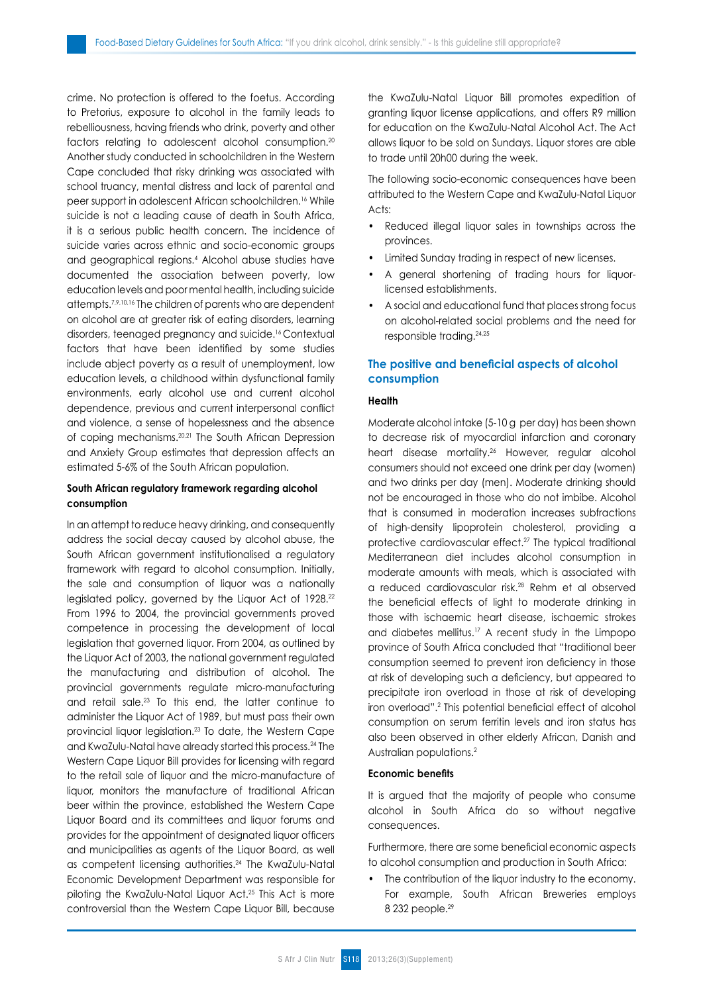crime. No protection is offered to the foetus. According to Pretorius, exposure to alcohol in the family leads to rebelliousness, having friends who drink, poverty and other factors relating to adolescent alcohol consumption.20 Another study conducted in schoolchildren in the Western Cape concluded that risky drinking was associated with school truancy, mental distress and lack of parental and peer support in adolescent African schoolchildren.16 While suicide is not a leading cause of death in South Africa, it is a serious public health concern. The incidence of suicide varies across ethnic and socio-economic groups and geographical regions.4 Alcohol abuse studies have documented the association between poverty, low education levels and poor mental health, including suicide attempts.7,9,10,16 The children of parents who are dependent on alcohol are at greater risk of eating disorders, learning disorders, teenaged pregnancy and suicide.16 Contextual factors that have been identified by some studies include abject poverty as a result of unemployment, low education levels, a childhood within dysfunctional family environments, early alcohol use and current alcohol dependence, previous and current interpersonal conflict and violence, a sense of hopelessness and the absence of coping mechanisms.20,21 The South African Depression and Anxiety Group estimates that depression affects an estimated 5-6% of the South African population.

# **South African regulatory framework regarding alcohol consumption**

In an attempt to reduce heavy drinking, and consequently address the social decay caused by alcohol abuse, the South African government institutionalised a regulatory framework with regard to alcohol consumption. Initially, the sale and consumption of liquor was a nationally legislated policy, governed by the Liquor Act of 1928.<sup>22</sup> From 1996 to 2004, the provincial governments proved competence in processing the development of local legislation that governed liquor. From 2004, as outlined by the Liquor Act of 2003, the national government regulated the manufacturing and distribution of alcohol. The provincial governments regulate micro-manufacturing and retail sale.23 To this end, the latter continue to administer the Liquor Act of 1989, but must pass their own provincial liquor legislation.<sup>23</sup> To date, the Western Cape and KwaZulu-Natal have already started this process.24 The Western Cape Liquor Bill provides for licensing with regard to the retail sale of liquor and the micro-manufacture of liquor, monitors the manufacture of traditional African beer within the province, established the Western Cape Liquor Board and its committees and liquor forums and provides for the appointment of designated liquor officers and municipalities as agents of the Liquor Board, as well as competent licensing authorities.24 The KwaZulu-Natal Economic Development Department was responsible for piloting the KwaZulu-Natal Liquor Act.25 This Act is more controversial than the Western Cape Liquor Bill, because the KwaZulu-Natal Liquor Bill promotes expedition of granting liquor license applications, and offers R9 million for education on the KwaZulu-Natal Alcohol Act. The Act allows liquor to be sold on Sundays. Liquor stores are able to trade until 20h00 during the week.

The following socio-economic consequences have been attributed to the Western Cape and KwaZulu-Natal Liquor Acts:

- Reduced illegal liquor sales in townships across the provinces.
- Limited Sunday trading in respect of new licenses.
- A general shortening of trading hours for liquorlicensed establishments.
- A social and educational fund that places strong focus on alcohol-related social problems and the need for responsible trading.24,25

# **The positive and beneficial aspects of alcohol consumption**

#### **Health**

Moderate alcohol intake (5-10 g per day) has been shown to decrease risk of myocardial infarction and coronary heart disease mortality.<sup>26</sup> However, regular alcohol consumers should not exceed one drink per day (women) and two drinks per day (men). Moderate drinking should not be encouraged in those who do not imbibe. Alcohol that is consumed in moderation increases subfractions of high-density lipoprotein cholesterol, providing a protective cardiovascular effect.27 The typical traditional Mediterranean diet includes alcohol consumption in moderate amounts with meals, which is associated with a reduced cardiovascular risk.<sup>28</sup> Rehm et al observed the beneficial effects of light to moderate drinking in those with ischaemic heart disease, ischaemic strokes and diabetes mellitus.17 A recent study in the Limpopo province of South Africa concluded that "traditional beer consumption seemed to prevent iron deficiency in those at risk of developing such a deficiency, but appeared to precipitate iron overload in those at risk of developing iron overload".<sup>2</sup> This potential beneficial effect of alcohol consumption on serum ferritin levels and iron status has also been observed in other elderly African, Danish and Australian populations.2

#### **Economic benefits**

It is argued that the majority of people who consume alcohol in South Africa do so without negative consequences.

Furthermore, there are some beneficial economic aspects to alcohol consumption and production in South Africa:

The contribution of the liquor industry to the economy. For example, South African Breweries employs 8 232 people.29